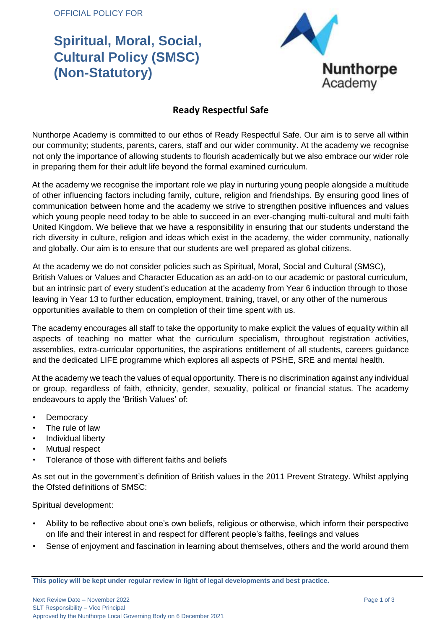OFFICIAL POLICY FOR

### **Spiritual, Moral, Social, Cultural Policy (SMSC) (Non-Statutory)**



### **Ready Respectful Safe**

Nunthorpe Academy is committed to our ethos of Ready Respectful Safe. Our aim is to serve all within our community; students, parents, carers, staff and our wider community. At the academy we recognise not only the importance of allowing students to flourish academically but we also embrace our wider role in preparing them for their adult life beyond the formal examined curriculum.

At the academy we recognise the important role we play in nurturing young people alongside a multitude of other influencing factors including family, culture, religion and friendships. By ensuring good lines of communication between home and the academy we strive to strengthen positive influences and values which young people need today to be able to succeed in an ever-changing multi-cultural and multi faith United Kingdom. We believe that we have a responsibility in ensuring that our students understand the rich diversity in culture, religion and ideas which exist in the academy, the wider community, nationally and globally. Our aim is to ensure that our students are well prepared as global citizens.

At the academy we do not consider policies such as Spiritual, Moral, Social and Cultural (SMSC), British Values or Values and Character Education as an add-on to our academic or pastoral curriculum, but an intrinsic part of every student's education at the academy from Year 6 induction through to those leaving in Year 13 to further education, employment, training, travel, or any other of the numerous opportunities available to them on completion of their time spent with us.

The academy encourages all staff to take the opportunity to make explicit the values of equality within all aspects of teaching no matter what the curriculum specialism, throughout registration activities, assemblies, extra-curricular opportunities, the aspirations entitlement of all students, careers guidance and the dedicated LIFE programme which explores all aspects of PSHE, SRE and mental health.

At the academy we teach the values of equal opportunity. There is no discrimination against any individual or group, regardless of faith, ethnicity, gender, sexuality, political or financial status. The academy endeavours to apply the 'British Values' of:

- Democracy
- The rule of law
- Individual liberty
- Mutual respect
- Tolerance of those with different faiths and beliefs

As set out in the government's definition of British values in the 2011 Prevent Strategy. Whilst applying the Ofsted definitions of SMSC:

Spiritual development:

- Ability to be reflective about one's own beliefs, religious or otherwise, which inform their perspective on life and their interest in and respect for different people's faiths, feelings and values
- Sense of enjoyment and fascination in learning about themselves, others and the world around them

**This policy will be kept under regular review in light of legal developments and best practice.**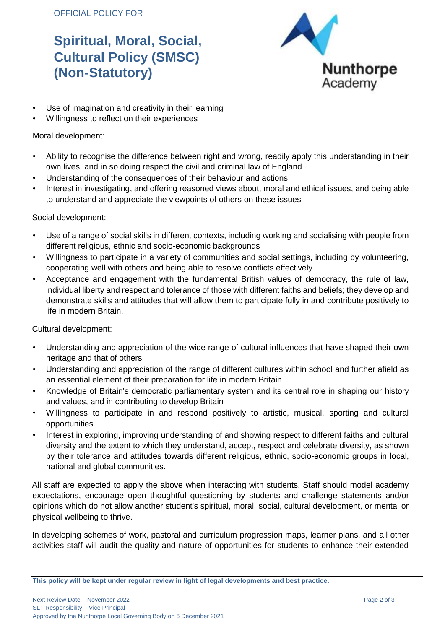## **Spiritual, Moral, Social, Cultural Policy (SMSC) (Non-Statutory)**



- Use of imagination and creativity in their learning
- Willingness to reflect on their experiences

#### Moral development:

- Ability to recognise the difference between right and wrong, readily apply this understanding in their own lives, and in so doing respect the civil and criminal law of England
- Understanding of the consequences of their behaviour and actions
- Interest in investigating, and offering reasoned views about, moral and ethical issues, and being able to understand and appreciate the viewpoints of others on these issues

#### Social development:

- Use of a range of social skills in different contexts, including working and socialising with people from different religious, ethnic and socio-economic backgrounds
- Willingness to participate in a variety of communities and social settings, including by volunteering, cooperating well with others and being able to resolve conflicts effectively
- Acceptance and engagement with the fundamental British values of democracy, the rule of law, individual liberty and respect and tolerance of those with different faiths and beliefs; they develop and demonstrate skills and attitudes that will allow them to participate fully in and contribute positively to life in modern Britain.

#### Cultural development:

- Understanding and appreciation of the wide range of cultural influences that have shaped their own heritage and that of others
- Understanding and appreciation of the range of different cultures within school and further afield as an essential element of their preparation for life in modern Britain
- Knowledge of Britain's democratic parliamentary system and its central role in shaping our history and values, and in contributing to develop Britain
- Willingness to participate in and respond positively to artistic, musical, sporting and cultural opportunities
- Interest in exploring, improving understanding of and showing respect to different faiths and cultural diversity and the extent to which they understand, accept, respect and celebrate diversity, as shown by their tolerance and attitudes towards different religious, ethnic, socio-economic groups in local, national and global communities.

All staff are expected to apply the above when interacting with students. Staff should model academy expectations, encourage open thoughtful questioning by students and challenge statements and/or opinions which do not allow another student's spiritual, moral, social, cultural development, or mental or physical wellbeing to thrive.

In developing schemes of work, pastoral and curriculum progression maps, learner plans, and all other activities staff will audit the quality and nature of opportunities for students to enhance their extended

**This policy will be kept under regular review in light of legal developments and best practice.**